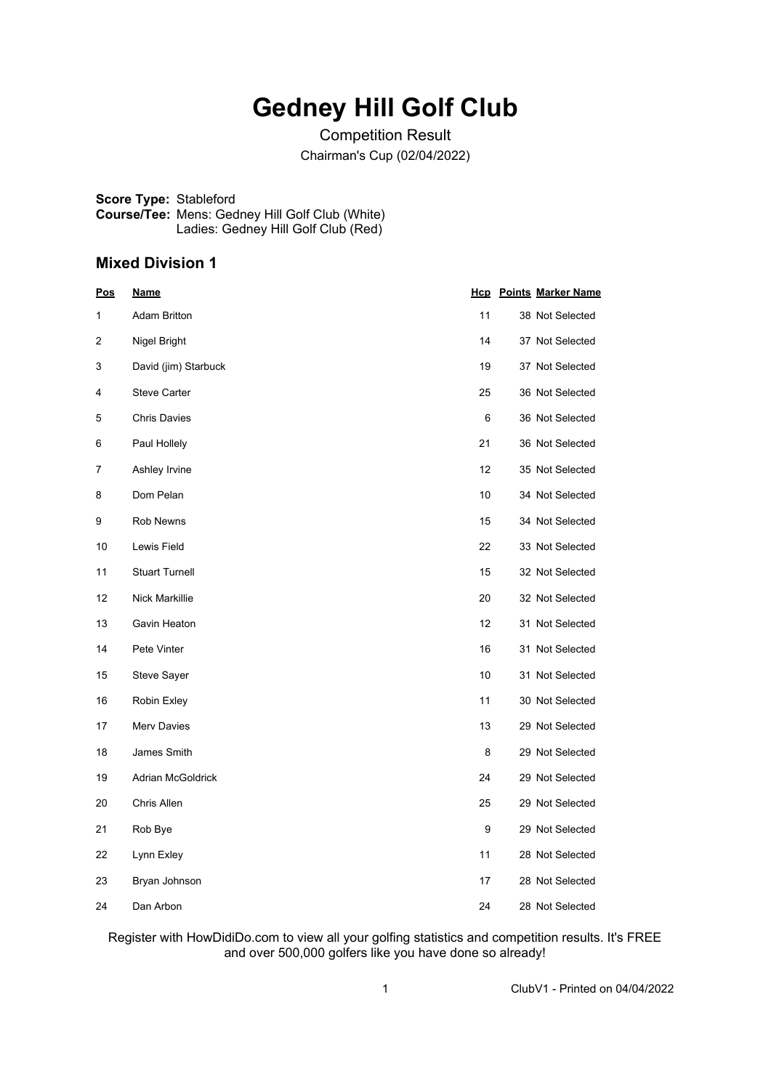# **Gedney Hill Golf Club**

Competition Result Chairman's Cup (02/04/2022)

**Score Type:** Stableford **Course/Tee:** Mens: Gedney Hill Golf Club (White) Ladies: Gedney Hill Golf Club (Red)

#### **Mixed Division 1**

| <u>Pos</u> | <u>Name</u>              |    | <b>Hcp</b> Points Marker Name |
|------------|--------------------------|----|-------------------------------|
| 1          | <b>Adam Britton</b>      | 11 | 38 Not Selected               |
| 2          | Nigel Bright             | 14 | 37 Not Selected               |
| 3          | David (jim) Starbuck     | 19 | 37 Not Selected               |
| 4          | <b>Steve Carter</b>      | 25 | 36 Not Selected               |
| 5          | <b>Chris Davies</b>      | 6  | 36 Not Selected               |
| 6          | Paul Hollely             | 21 | 36 Not Selected               |
| 7          | Ashley Irvine            | 12 | 35 Not Selected               |
| 8          | Dom Pelan                | 10 | 34 Not Selected               |
| 9          | Rob Newns                | 15 | 34 Not Selected               |
| 10         | Lewis Field              | 22 | 33 Not Selected               |
| 11         | <b>Stuart Turnell</b>    | 15 | 32 Not Selected               |
| 12         | Nick Markillie           | 20 | 32 Not Selected               |
| 13         | Gavin Heaton             | 12 | 31 Not Selected               |
| 14         | Pete Vinter              | 16 | 31 Not Selected               |
| 15         | Steve Sayer              | 10 | 31 Not Selected               |
| 16         | Robin Exley              | 11 | 30 Not Selected               |
| 17         | Merv Davies              | 13 | 29 Not Selected               |
| 18         | James Smith              | 8  | 29 Not Selected               |
| 19         | <b>Adrian McGoldrick</b> | 24 | 29 Not Selected               |
| 20         | Chris Allen              | 25 | 29 Not Selected               |
| 21         | Rob Bye                  | 9  | 29 Not Selected               |
| 22         | Lynn Exley               | 11 | 28 Not Selected               |
| 23         | Bryan Johnson            | 17 | 28 Not Selected               |
| 24         | Dan Arbon                | 24 | 28 Not Selected               |

Register with HowDidiDo.com to view all your golfing statistics and competition results. It's FREE and over 500,000 golfers like you have done so already!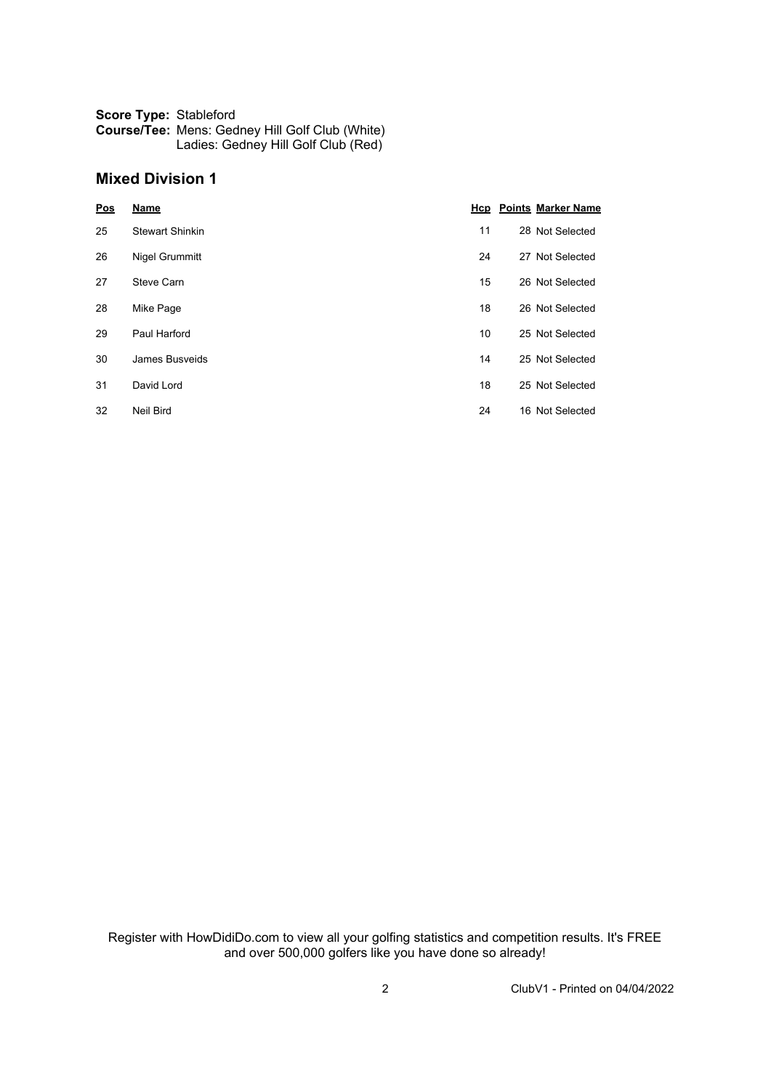| <b>Score Type: Stableford</b> |                                                        |
|-------------------------------|--------------------------------------------------------|
|                               | <b>Course/Tee: Mens: Gedney Hill Golf Club (White)</b> |
|                               | Ladies: Gedney Hill Golf Club (Red)                    |

### **Mixed Division 1**

| Pos | <b>Name</b>            |    | <b>Hcp</b> Points Marker Name |
|-----|------------------------|----|-------------------------------|
| 25  | <b>Stewart Shinkin</b> | 11 | 28 Not Selected               |
| 26  | <b>Nigel Grummitt</b>  | 24 | 27 Not Selected               |
| 27  | Steve Carn             | 15 | 26 Not Selected               |
| 28  | Mike Page              | 18 | 26 Not Selected               |
| 29  | Paul Harford           | 10 | 25 Not Selected               |
| 30  | James Busveids         | 14 | 25 Not Selected               |
| 31  | David Lord             | 18 | 25 Not Selected               |
| 32  | <b>Neil Bird</b>       | 24 | 16 Not Selected               |

Register with HowDidiDo.com to view all your golfing statistics and competition results. It's FREE and over 500,000 golfers like you have done so already!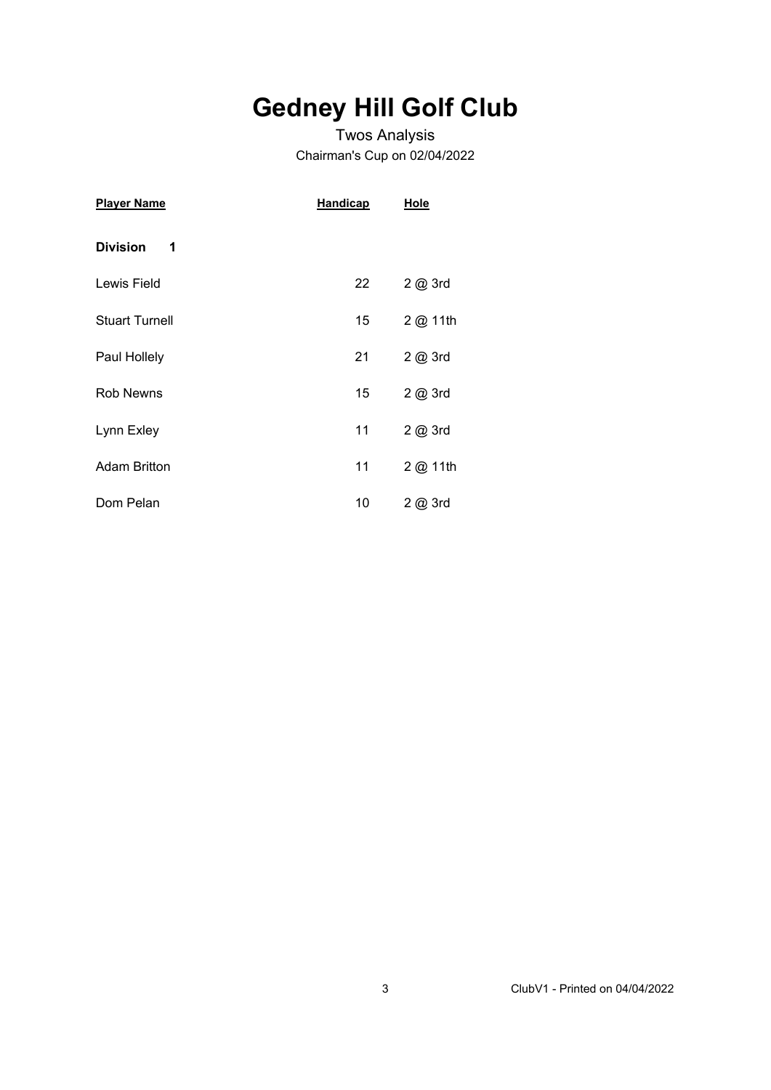# **Gedney Hill Golf Club**

### Twos Analysis Chairman's Cup on 02/04/2022

| <u>Player Name</u>    | <b>Handicap</b> | <b>Hole</b> |
|-----------------------|-----------------|-------------|
| <b>Division</b><br>1  |                 |             |
| Lewis Field           | 22              | 2 @ 3rd     |
| <b>Stuart Turnell</b> | 15              | 2 @ 11th    |
| Paul Hollely          | 21              | 2 @ 3rd     |
| <b>Rob Newns</b>      | 15              | 2 @ 3rd     |
| Lynn Exley            | 11              | 2 @ 3rd     |
| <b>Adam Britton</b>   | 11              | 2 @ 11th    |
| Dom Pelan             | 10              | 2@3rd       |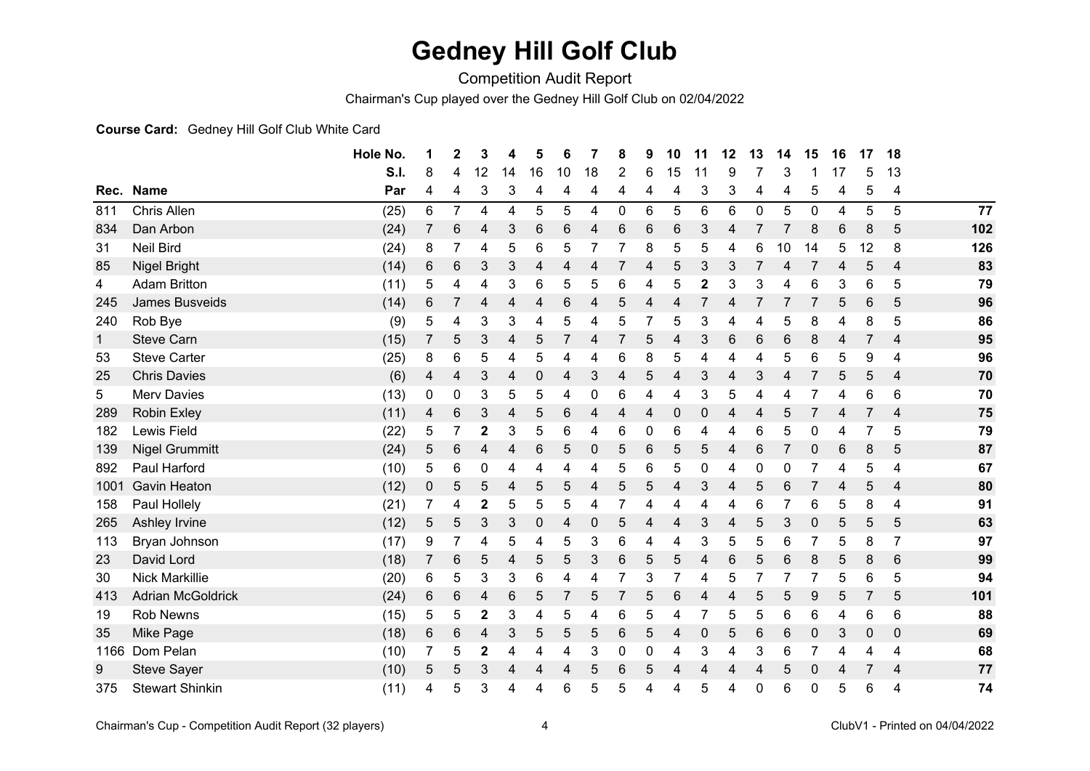### **Gedney Hill Golf Club**

Competition Audit Report

Chairman's Cup played over the Gedney Hill Golf Club on 02/04/2022

#### **Course Card:** Gedney Hill Golf Club White Card

|              |                          | Hole No. | 1     | $\mathbf 2$    | 3                       | 4  | 5           | 6  | 7  | 8              | 9 | 10               | 11               | 12 | 13 | 14 | 15          | 16 | 17        | 18              |     |
|--------------|--------------------------|----------|-------|----------------|-------------------------|----|-------------|----|----|----------------|---|------------------|------------------|----|----|----|-------------|----|-----------|-----------------|-----|
|              |                          | S.I.     | 8     | 4              | 12                      | 14 | 16          | 10 | 18 | 2              | 6 | 15               | 11               | 9  |    | 3  |             | 17 | 5         | 13              |     |
| Rec.         | <b>Name</b>              | Par      | 4     | 4              | 3                       | 3  | 4           | 4  | 4  | 4              | 4 | 4                | 3                | 3  | 4  | 4  | 5           | 4  | 5         | 4               |     |
| 811          | Chris Allen              | (25)     | $\,6$ | $\overline{7}$ | 4                       | 4  | 5           | 5  | 4  | 0              | 6 | 5                | 6                | 6  | 0  | 5  | $\mathbf 0$ | 4  | 5         | 5               | 77  |
| 834          | Dan Arbon                | (24)     | 7     | 6              | 4                       | 3  | 6           | 6  | 4  | 6              | 6 | 6                | 3                | 4  | 7  | 7  | 8           | 6  | 8         | 5               | 102 |
| 31           | <b>Neil Bird</b>         | (24)     | 8     |                | 4                       | 5  | 6           | 5  |    |                | 8 | 5                | 5                | 4  | 6  | 10 | 14          | 5  | 12        | 8               | 126 |
| 85           | <b>Nigel Bright</b>      | (14)     | 6     | 6              | 3                       | 3  | 4           | 4  | 4  | 7              | 4 | 5                | 3                | 3  | 7  | 4  | 7           | 4  | 5         | $\overline{4}$  | 83  |
| 4            | <b>Adam Britton</b>      | (11)     | 5     | 4              | 4                       | 3  | 6           | 5  | 5  | 6              | 4 | 5                | $\mathbf 2$      | 3  | 3  | 4  | 6           | 3  | 6         | 5               | 79  |
| 245          | <b>James Busveids</b>    | (14)     | 6     | 7              | 4                       | 4  | 4           | 6  | 4  | 5              | 4 | 4                |                  | 4  | 7  | 7  |             | 5  | 6         | 5               | 96  |
| 240          | Rob Bye                  | (9)      | 5     | 4              | 3                       | 3  | 4           | 5  | 4  | 5              | 7 | 5                | 3                | 4  | 4  | 5  | 8           | 4  | 8         | 5               | 86  |
| $\mathbf{1}$ | <b>Steve Carn</b>        | (15)     | 7     | 5              | 3                       | 4  | 5           |    | 4  | $\overline{7}$ | 5 | 4                | 3                | 6  | 6  | 6  | 8           | 4  | 7         | 4               | 95  |
| 53           | <b>Steve Carter</b>      | (25)     | 8     | 6              | 5                       | 4  | 5           | 4  | 4  | 6              | 8 | 5                | 4                | 4  | 4  | 5  | 6           | 5  | 9         | 4               | 96  |
| 25           | <b>Chris Davies</b>      | (6)      | 4     | 4              | 3                       | 4  | 0           | 4  | 3  | 4              | 5 | 4                | 3                | 4  | 3  | 4  |             | 5  | 5         | 4               | 70  |
| 5            | <b>Merv Davies</b>       | (13)     | 0     | 0              | 3                       | 5  | 5           | 4  | 0  | 6              | 4 | 4                | 3                | 5  | 4  | 4  |             | 4  | 6         | 6               | 70  |
| 289          | <b>Robin Exley</b>       | (11)     | 4     | 6              | 3                       | 4  | 5           | 6  | 4  | 4              | 4 | $\boldsymbol{0}$ | $\pmb{0}$        | 4  | 4  | 5  |             | 4  | 7         | 4               | 75  |
| 182          | Lewis Field              | (22)     | 5     | $\overline{7}$ | 2                       | 3  | 5           | 6  | 4  | 6              | 0 | 6                | 4                | 4  | 6  | 5  | 0           | 4  | 7         | 5               | 79  |
| 139          | <b>Nigel Grummitt</b>    | (24)     | 5     | 6              | 4                       | 4  | 6           | 5  | 0  | 5              | 6 | 5                | 5                | 4  | 6  |    | 0           | 6  | 8         | 5               | 87  |
| 892          | Paul Harford             | (10)     | 5     | 6              | 0                       | 4  | 4           | 4  | 4  | 5              | 6 | 5                | $\boldsymbol{0}$ | 4  | 0  | 0  |             | 4  | 5         | 4               | 67  |
| 1001         | <b>Gavin Heaton</b>      | (12)     | 0     | 5              | 5                       | 4  | 5           | 5  | 4  | 5              | 5 | 4                | 3                | 4  | 5  | 6  |             | 4  | 5         | 4               | 80  |
| 158          | Paul Hollely             | (21)     | 7     | 4              | $\overline{2}$          | 5  | 5           | 5  | 4  |                | 4 | 4                | 4                | 4  | 6  | 7  | 6           | 5  | 8         | 4               | 91  |
| 265          | Ashley Irvine            | (12)     | 5     | 5              | 3                       | 3  | 0           | 4  | 0  | 5              | 4 | 4                | 3                | 4  | 5  | 3  | 0           | 5  | 5         | 5               | 63  |
| 113          | Bryan Johnson            | (17)     | 9     | 7              | 4                       | 5  | 4           | 5  | 3  | 6              | 4 | 4                | 3                | 5  | 5  | 6  |             | 5  | 8         | 7               | 97  |
| 23           | David Lord               | (18)     | 7     | 6              | 5                       | 4  | $\mathbf 5$ | 5  | 3  | 6              | 5 | 5                | 4                | 6  | 5  | 6  | 8           | 5  | 8         | $6\phantom{1}6$ | 99  |
| 30           | <b>Nick Markillie</b>    | (20)     | 6     | 5              | 3                       | 3  | 6           | 4  | 4  |                | 3 |                  | 4                | 5  | 7  | 7  |             | 5  | 6         | 5               | 94  |
| 413          | <b>Adrian McGoldrick</b> | (24)     | 6     | 6              | 4                       | 6  | 5           |    | 5  |                | 5 | 6                | 4                | 4  | 5  | 5  | 9           | 5  |           | 5               | 101 |
| 19           | <b>Rob Newns</b>         | (15)     | 5     | 5              | $\overline{\mathbf{c}}$ | 3  | 4           | 5  | 4  | 6              | 5 | 4                |                  | 5  | 5  | 6  | 6           | 4  | 6         | 6               | 88  |
| 35           | Mike Page                | (18)     | 6     | 6              | 4                       | 3  | 5           | 5  | 5  | 6              | 5 | 4                | $\mathbf 0$      | 5  | 6  | 6  | 0           | 3  | $\pmb{0}$ | $\mathbf 0$     | 69  |
| 1166         | Dom Pelan                | (10)     | 7     | 5              | $\mathbf{2}$            | 4  | 4           | 4  | 3  | 0              | 0 | 4                | 3                | 4  | 3  | 6  |             | 4  | 4         | 4               | 68  |
| 9            | <b>Steve Sayer</b>       | (10)     | 5     | 5              | 3                       | 4  | 4           | 4  | 5  | 6              | 5 | 4                | 4                | 4  | 4  | 5  | $\Omega$    | 4  |           | 4               | 77  |
| 375          | <b>Stewart Shinkin</b>   | (11)     | 4     | 5              | 3                       | 4  | 4           | 6  | 5  | 5              | 4 | 4                | 5                | 4  | 0  | 6  | 0           | 5  | 6         | 4               | 74  |